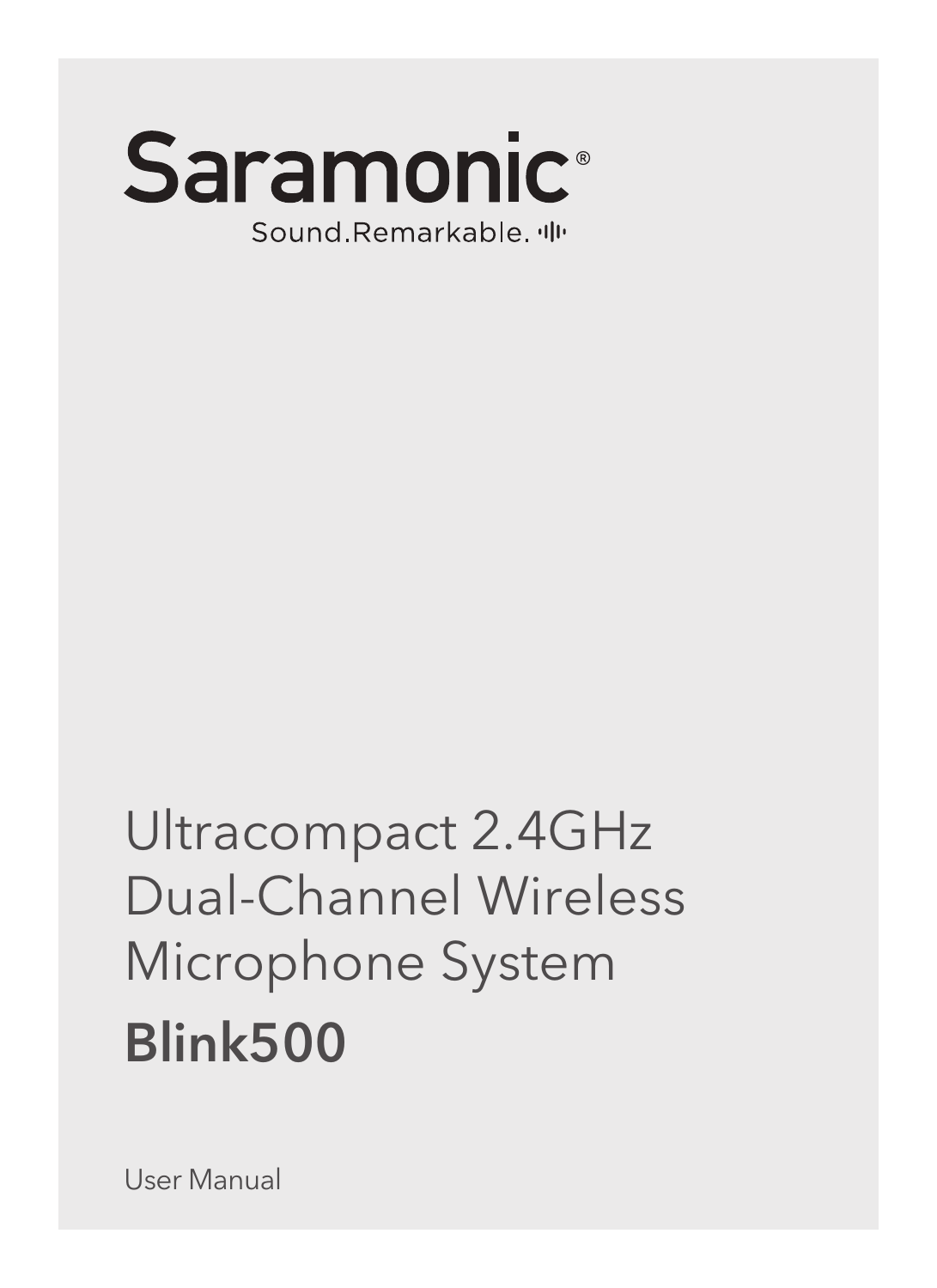

# Ultracompact 2.4GHz Dual-Channel Wireless Microphone System Blink500

User Manual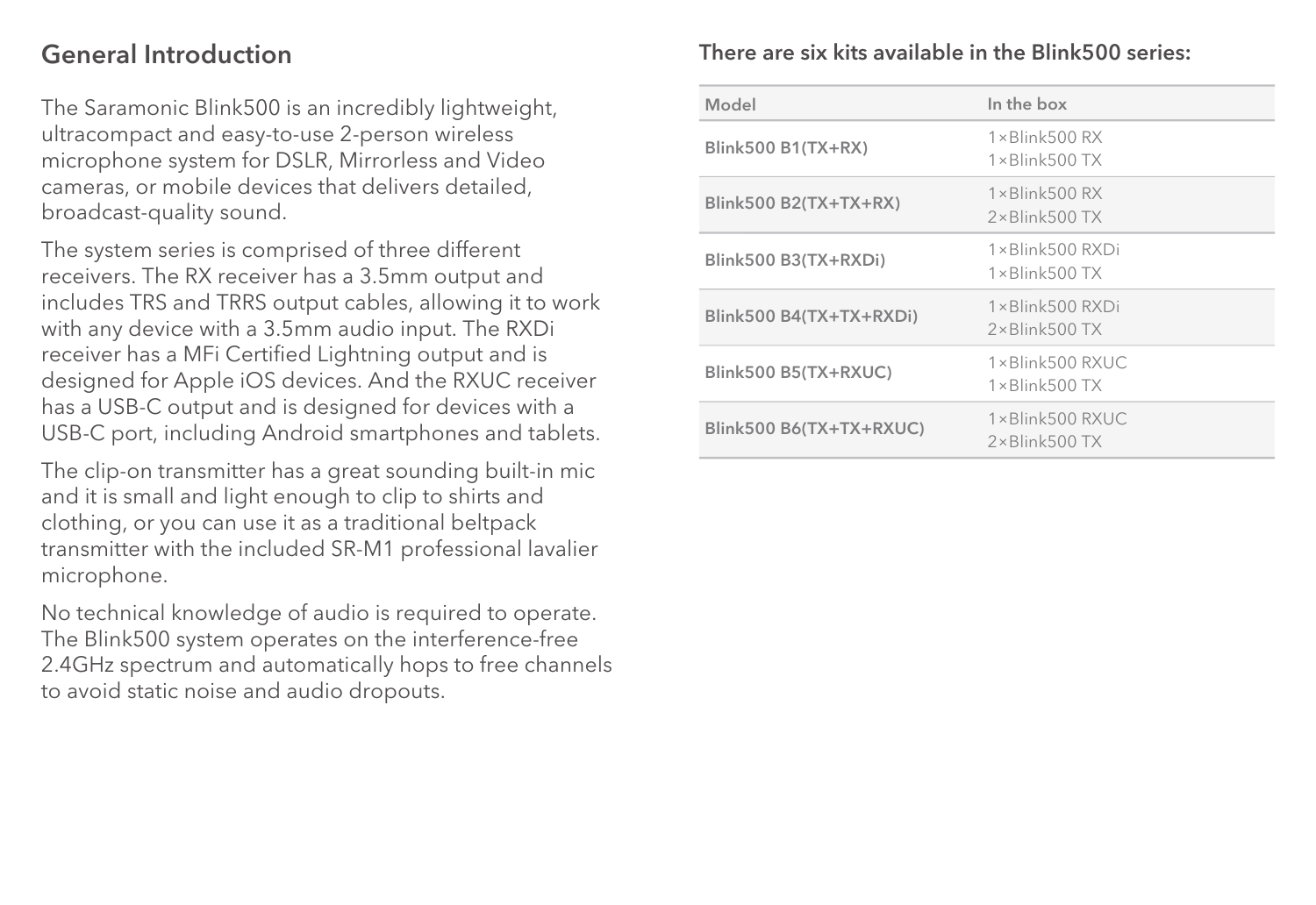### General Introduction

The Saramonic Blink500 is an incredibly lightweight, ultracompact and easy-to-use 2-person wireless microphone system for DSLR, Mirrorless and Video cameras, or mobile devices that delivers detailed, broadcast-quality sound.

The system series is comprised of three different receivers. The RX receiver has a 3.5mm output and includes TRS and TRRS output cables, allowing it to work with any device with a 3.5mm audio input. The RXDi receiver has a MFi Certified Lightning output and is designed for Apple iOS devices. And the RXUC receiver has a USB-C output and is designed for devices with a USB-C port, including Android smartphones and tablets.

The clip-on transmitter has a great sounding built-in mic and it is small and light enough to clip to shirts and clothing, or you can use it as a traditional beltpack transmitter with the included SR-M1 professional lavalier microphone.

No technical knowledge of audio is required to operate. The Blink500 system operates on the interference-free 2.4GHz spectrum and automatically hops to free channels to avoid static noise and audio dropouts.

### There are six kits available in the Blink500 series:

| Model                   | In the box                                         |
|-------------------------|----------------------------------------------------|
| Blink500 B1(TX+RX)      | $1 \times$ Blink500 $RX$<br>$1 \times$ Blink500 TX |
| $Blink500 B2(TX+TX+RX)$ | $1 \times$ Blink500 RX<br>$2 \times$ Blink500 TX   |
| Blink500 B3(TX+RXDi)    | $1 \times$ Blink500 RXDi<br>$1 \times$ Blink500 TX |
| Blink500 B4(TX+TX+RXDi) | 1×Blink500 RXDi<br>$2 \times$ Blink500 TX          |
| Blink500 B5(TX+RXUC)    | 1×Blink500 RXUC<br>$1 \times$ Blink500 TX          |
| Blink500 B6(TX+TX+RXUC) | $1 \times$ Blink500 RXUC<br>$2 \times$ Blink500 TX |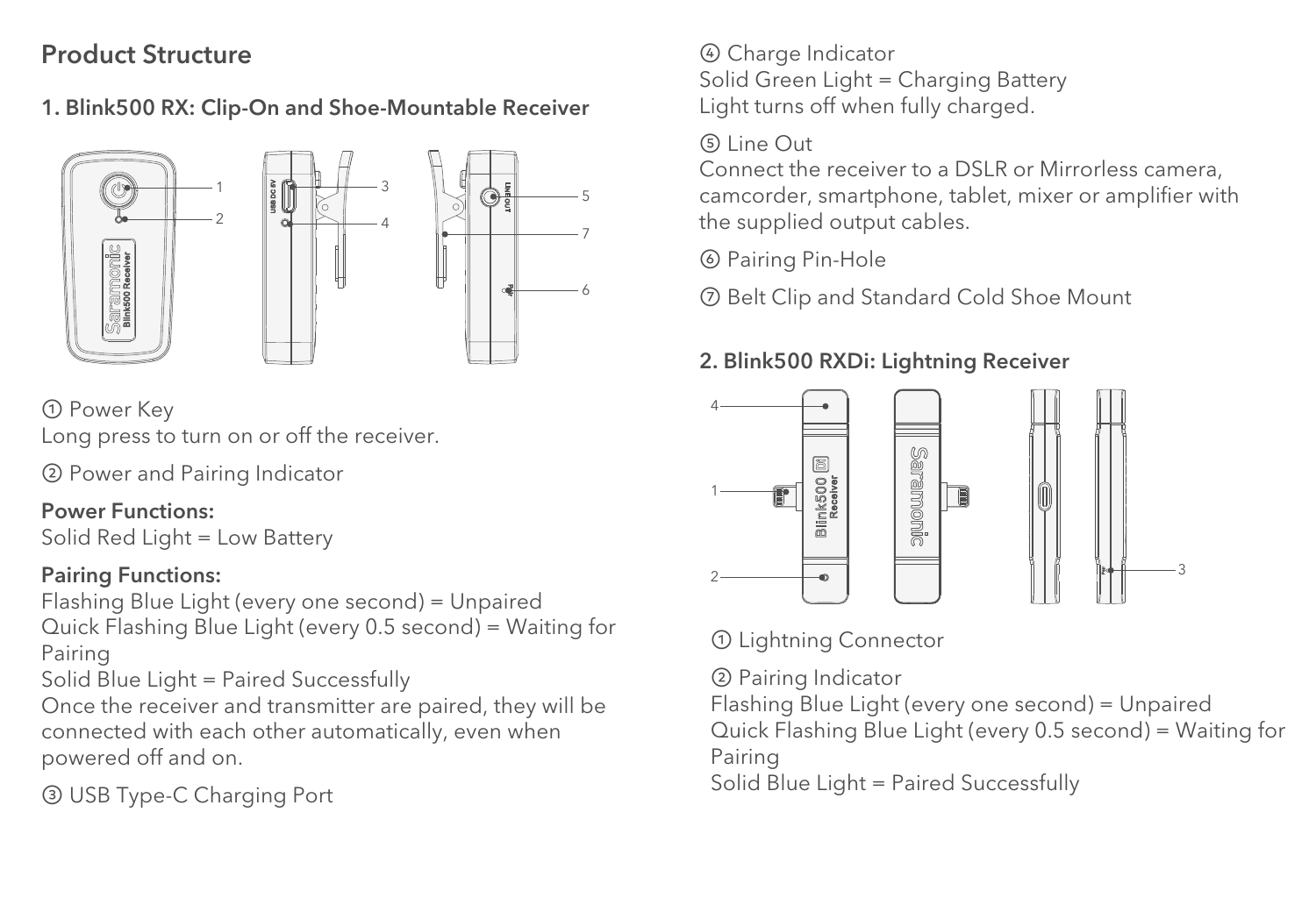### Product Structure

1. Blink500 RX: Clip-On and Shoe-Mountable Receiver



① Power Key Long press to turn on or off the receiver.

② Power and Pairing Indicator

#### Power Functions:

Solid Red Light = Low Battery

#### Pairing Functions:

Flashing Blue Light (every one second) = Unpaired Quick Flashing Blue Light (every 0.5 second) = Waiting for Pairing

Solid Blue Light = Paired Successfully

Once the receiver and transmitter are paired, they will be connected with each other automatically, even when powered off and on.

③ USB Type-C Charging Port

④ Charge Indicator Solid Green Light = Charging Battery Light turns off when fully charged.

#### ⑤ Line Out

Connect the receiver to a DSLR or Mirrorless camera, camcorder, smartphone, tablet, mixer or amplifier with the supplied output cables.

⑥ Pairing Pin-Hole

⑦ Belt Clip and Standard Cold Shoe Mount

### 2. Blink500 RXDi: Lightning Receiver



### ① Lightning Connector

② Pairing Indicator

Flashing Blue Light (every one second) = Unpaired Quick Flashing Blue Light (every 0.5 second) = Waiting for

Pairing

Solid Blue Light = Paired Successfully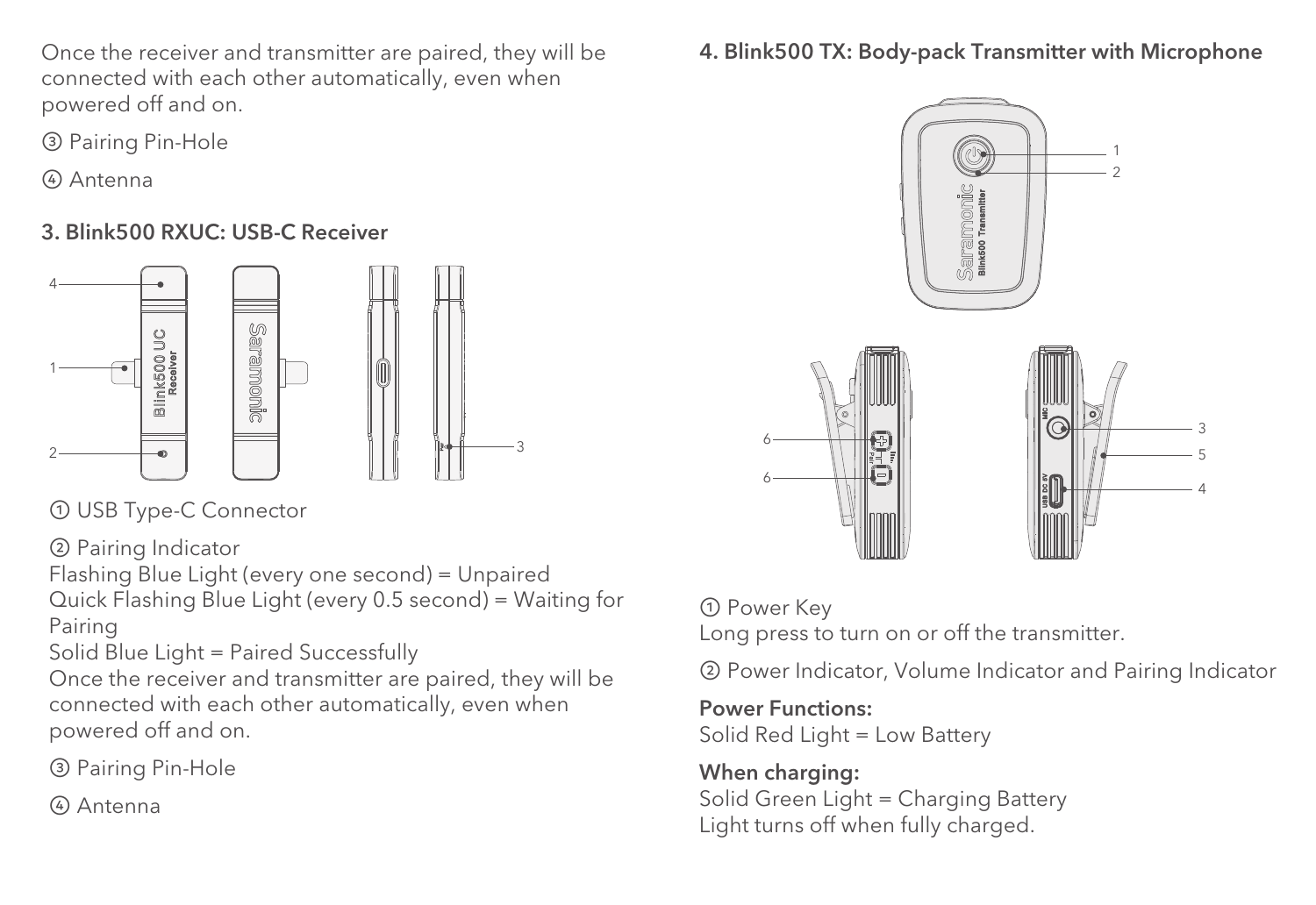Once the receiver and transmitter are paired, they will be connected with each other automatically, even when powered off and on.

- ③ Pairing Pin-Hole
- ④ Antenna

### 3. Blink500 RXUC: USB-C Receiver



① USB Type-C Connector

② Pairing Indicator

Flashing Blue Light (every one second) = Unpaired Quick Flashing Blue Light (every 0.5 second) = Waiting for Pairing

Solid Blue Light = Paired Successfully

Once the receiver and transmitter are paired, they will be connected with each other automatically, even when powered off and on.

③ Pairing Pin-Hole

④ Antenna

### 4. Blink500 TX: Body-pack Transmitter with Microphone



### ① Power Key

Long press to turn on or off the transmitter.

② Power Indicator, Volume Indicator and Pairing Indicator

#### Power Functions:

Solid Red Light = Low Battery

#### When charging: Solid Green Light = Charging Battery Light turns off when fully charged.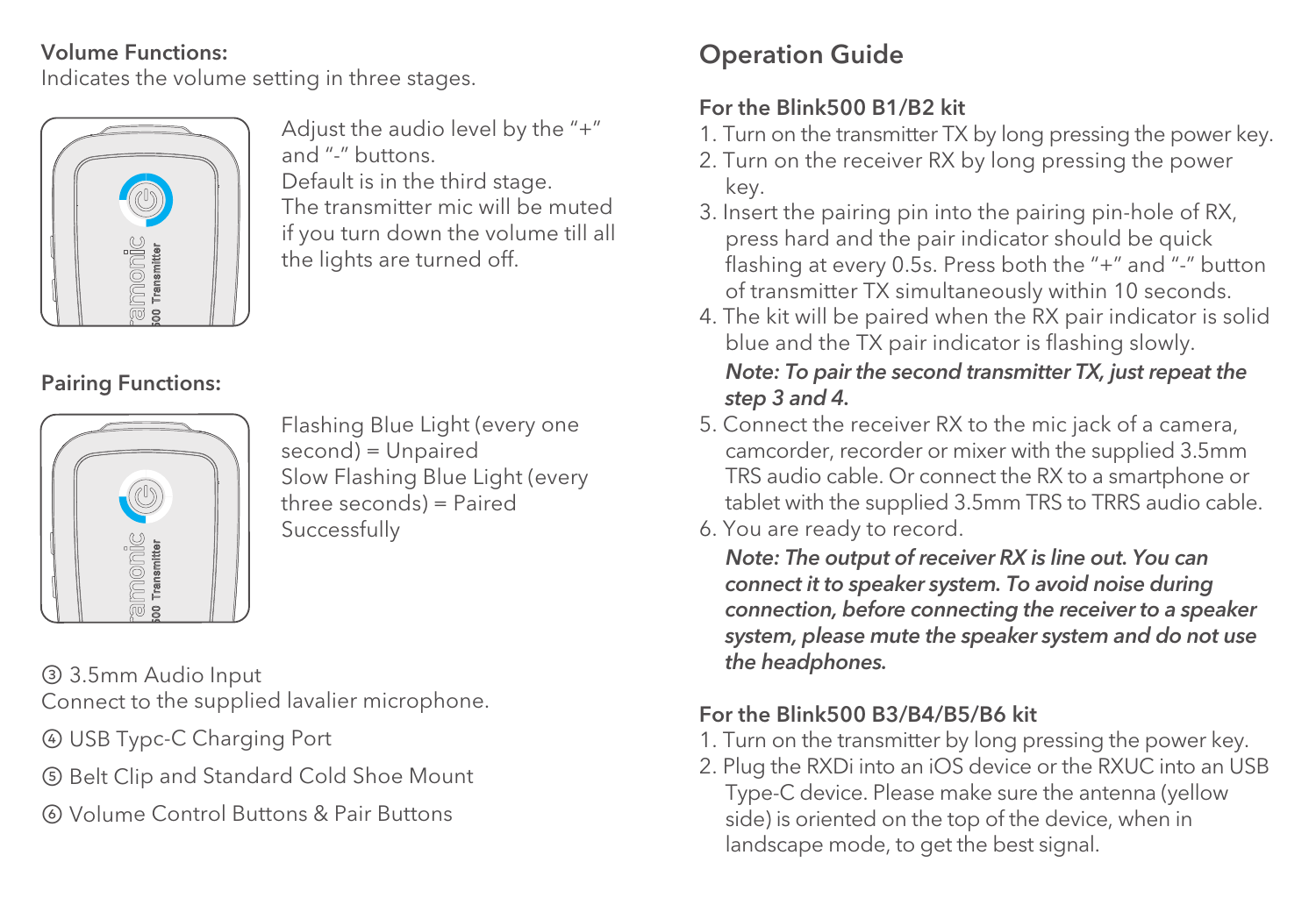#### Volume Functions:

Indicates the volume setting in three stages.



Adjust the audio level by the "+" and "-" buttons. Default is in the third stage. The transmitter mic will be muted if you turn down the volume till all

the lights are turned off.

Pairing Functions:



Flashing Blue Light (every one second) = Unpaired Slow Flashing Blue Light (every three seconds) = Paired Successfully

③ 3.5mm Audio Input

Connect to the supplied lavalier microphone.

- ④ USB Typc-C Charging Port
- ⑤ Belt Clip and Standard Cold Shoe Mount
- ⑥ Volume Control Buttons & Pair Buttons

## Operation Guide

### For the Blink500 B1/B2 kit

- 1. Turn on the transmitter TX by long pressing the power key.
- 2. Turn on the receiver RX by long pressing the power key.
- 3. Insert the pairing pin into the pairing pin-hole of RX, press hard and the pair indicator should be quick flashing at every 0.5s. Press both the "+" and "-" button of transmitter TX simultaneously within 10 seconds.
- 4. The kit will be paired when the RX pair indicator is solid blue and the TX pair indicator is flashing slowly.

### *Note: To pair the second transmitter TX, just repeat the step 3 and 4.*

- 5. Connect the receiver RX to the mic jack of a camera, camcorder, recorder or mixer with the supplied 3.5mm TRS audio cable. Or connect the RX to a smartphone or tablet with the supplied 3.5mm TRS to TRRS audio cable.
- 6. You are ready to record.

 *Note: The output of receiver RX is line out. You can connect it to speaker system. To avoid noise during connection, before connecting the receiver to a speaker system, please mute the speaker system and do not use the headphones.*

### For the Blink500 B3/B4/B5/B6 kit

- 1. Turn on the transmitter by long pressing the power key.
- 2. Plug the RXDi into an iOS device or the RXUC into an USB Type-C device. Please make sure the antenna (yellow side) is oriented on the top of the device, when in landscape mode, to get the best signal.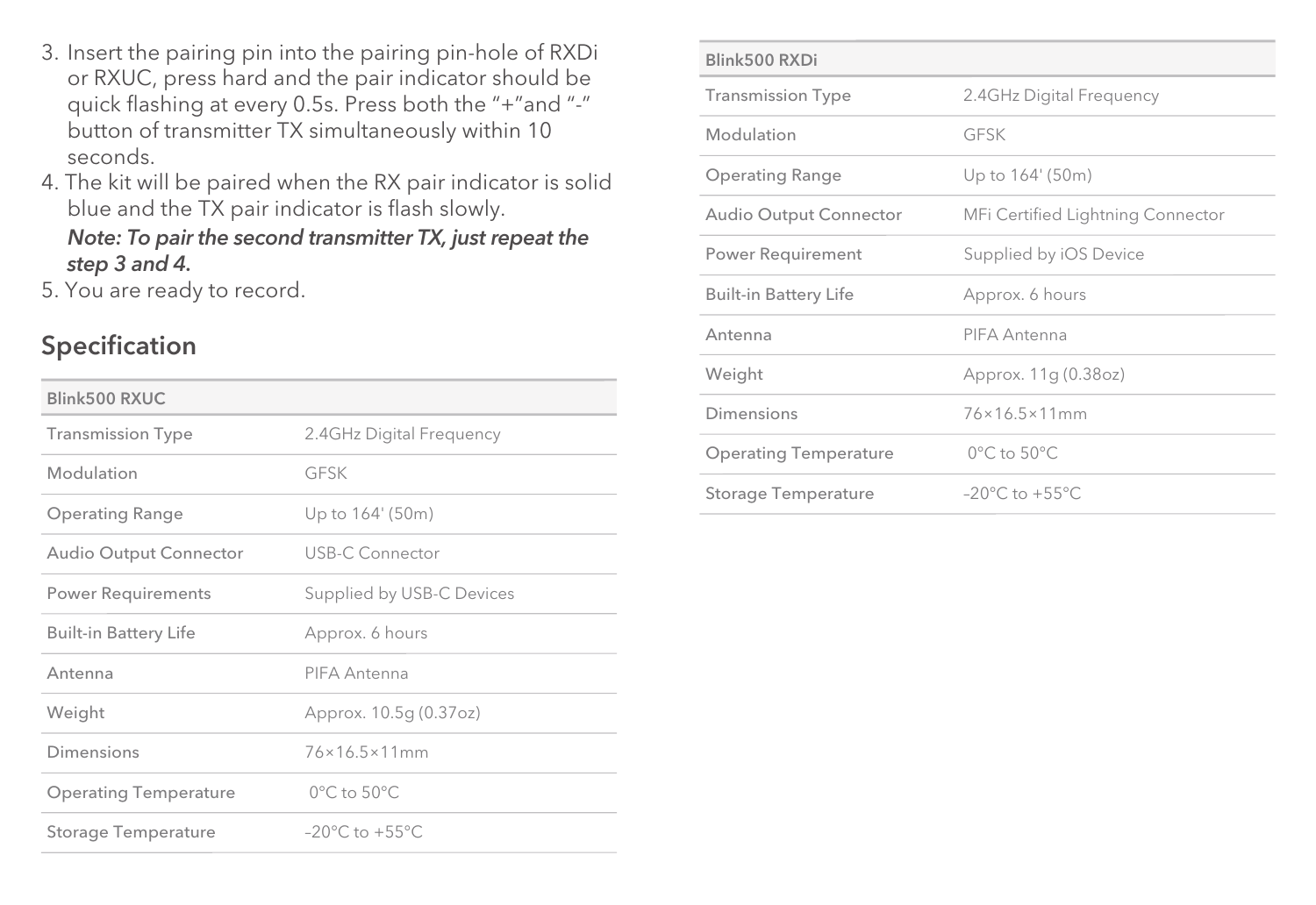- 3. Insert the pairing pin into the pairing pin-hole of RXDi or RXUC, press hard and the pair indicator should be quick flashing at every 0.5s. Press both the "+"and "-" button of transmitter TX simultaneously within 10 seconds.
- 4. The kit will be paired when the RX pair indicator is solid blue and the TX pair indicator is flash slowly.

#### *Note: To pair the second transmitter TX, just repeat the step 3 and 4.*

5. You are ready to record.

### Specification

| Blink500 RXUC                |                                     |
|------------------------------|-------------------------------------|
| <b>Transmission Type</b>     | 2.4GHz Digital Freguency            |
| Modulation                   | GESK                                |
| <b>Operating Range</b>       | Up to 164' (50m)                    |
| Audio Output Connector       | USB-C Connector                     |
| <b>Power Requirements</b>    | Supplied by USB-C Devices           |
| <b>Built-in Battery Life</b> | Approx. 6 hours                     |
| Antenna                      | PIFA Antenna                        |
| Weight                       | Approx. 10.5g (0.37oz)              |
| Dimensions                   | 76×16.5×11mm                        |
| <b>Operating Temperature</b> | $0^{\circ}$ C to $50^{\circ}$ C     |
| Storage Temperature          | $-20^{\circ}$ C to $+55^{\circ}$ C. |

| Blink500 RXDi                |                                     |  |
|------------------------------|-------------------------------------|--|
| <b>Transmission Type</b>     | 2.4GHz Digital Frequency            |  |
| Modulation                   | GESK                                |  |
| <b>Operating Range</b>       | Up to 164' (50m)                    |  |
| Audio Output Connector       | MFi Certified Lightning Connector   |  |
| Power Requirement            | Supplied by iOS Device              |  |
| <b>Built-in Battery Life</b> | Approx. 6 hours                     |  |
| Antenna                      | PIFA Antenna                        |  |
| Weight                       | Approx. 11g (0.38oz)                |  |
| Dimensions                   | 76×16.5×11mm                        |  |
| <b>Operating Temperature</b> | $0^{\circ}$ C to $50^{\circ}$ C     |  |
| Storage Temperature          | $-20^{\circ}$ C to $+55^{\circ}$ C. |  |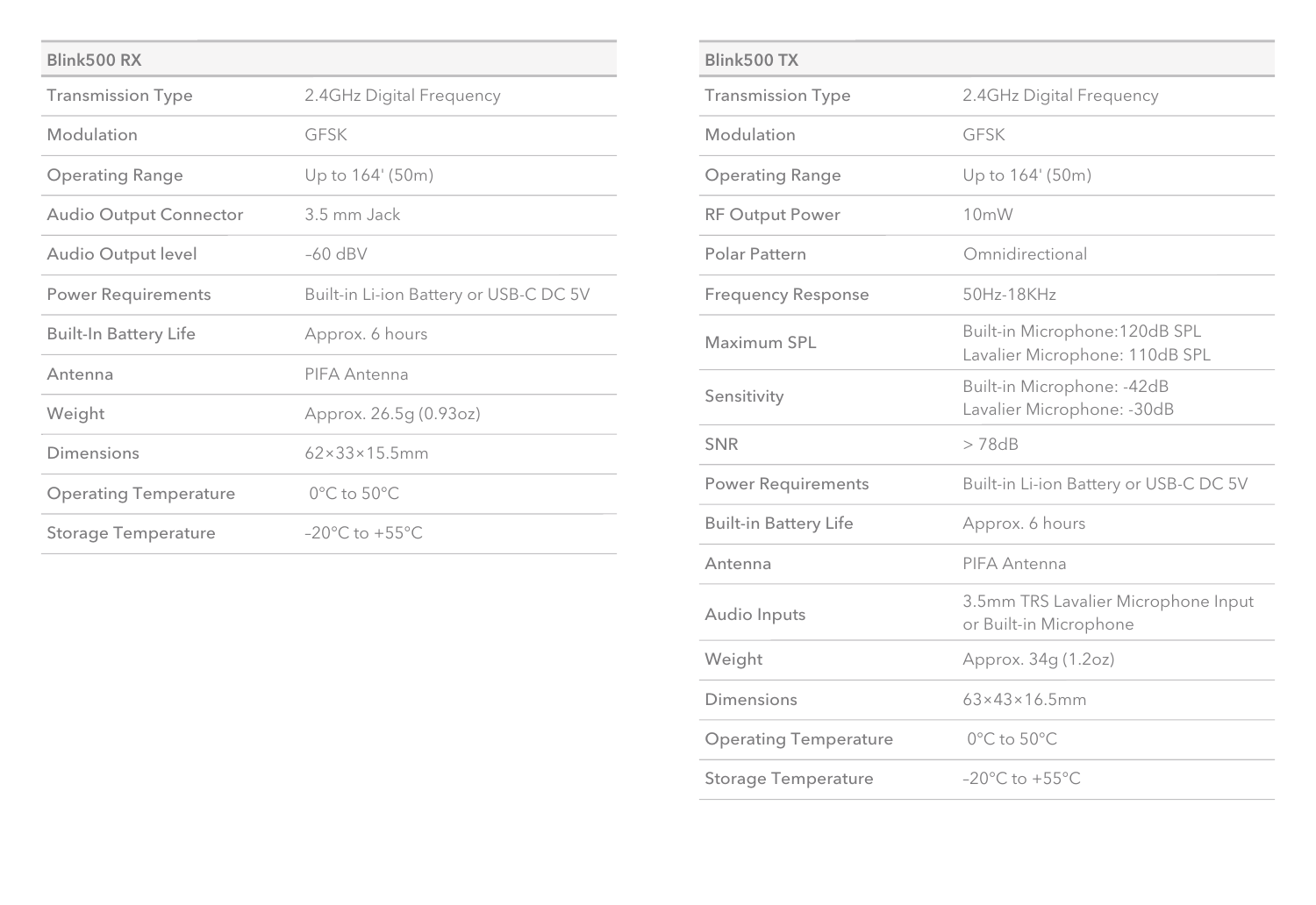| Blink500 RX                  |                                        |
|------------------------------|----------------------------------------|
| <b>Transmission Type</b>     | 2.4GHz Digital Frequency               |
| Modulation                   | GESK                                   |
| <b>Operating Range</b>       | Up to 164' (50m)                       |
| Audio Output Connector       | 3.5 mm Jack                            |
| Audio Output level           | $-60$ dBV                              |
| <b>Power Requirements</b>    | Built-in Li-ion Battery or USB-C DC 5V |
| <b>Built-In Battery Life</b> | Approx. 6 hours                        |
| Antenna                      | PIFA Antenna                           |
| Weight                       | Approx. 26.5g (0.93oz)                 |
| Dimensions                   | $62 \times 33 \times 15.5$ mm          |
| <b>Operating Temperature</b> | $0^{\circ}$ C to $50^{\circ}$ C        |
| <b>Storage Temperature</b>   | $-20^{\circ}$ C to $+55^{\circ}$ C.    |

| Blink500 TX                  |                                                                  |  |
|------------------------------|------------------------------------------------------------------|--|
| <b>Transmission Type</b>     | 2.4GHz Digital Frequency                                         |  |
| Modulation                   | GESK                                                             |  |
| <b>Operating Range</b>       | Up to 164' (50m)                                                 |  |
| <b>RF Output Power</b>       | 10mW                                                             |  |
| Polar Pattern                | Omnidirectional                                                  |  |
| <b>Frequency Response</b>    | 50Hz-18KHz                                                       |  |
| Maximum SPL                  | Built-in Microphone: 120dB SPL<br>Lavalier Microphone: 110dB SPL |  |
| Sensitivity                  | Built-in Microphone: -42dB<br>Lavalier Microphone: - 30dB        |  |
| <b>SNR</b>                   | >78dB                                                            |  |
|                              |                                                                  |  |
| <b>Power Requirements</b>    | Built-in Li-ion Battery or USB-C DC 5V                           |  |
| <b>Built-in Battery Life</b> | Approx. 6 hours                                                  |  |
| Antenna                      | PIFA Antenna                                                     |  |
| Audio Inputs                 | 3.5mm TRS Lavalier Microphone Input<br>or Built-in Microphone    |  |
| Weight                       | Approx. 34g (1.2oz)                                              |  |
| Dimensions                   | $63\times43\times16.5$ mm                                        |  |
| <b>Operating Temperature</b> | $0^{\circ}$ C to $50^{\circ}$ C                                  |  |
| <b>Storage Temperature</b>   | $-20^{\circ}$ C to $+55^{\circ}$ C.                              |  |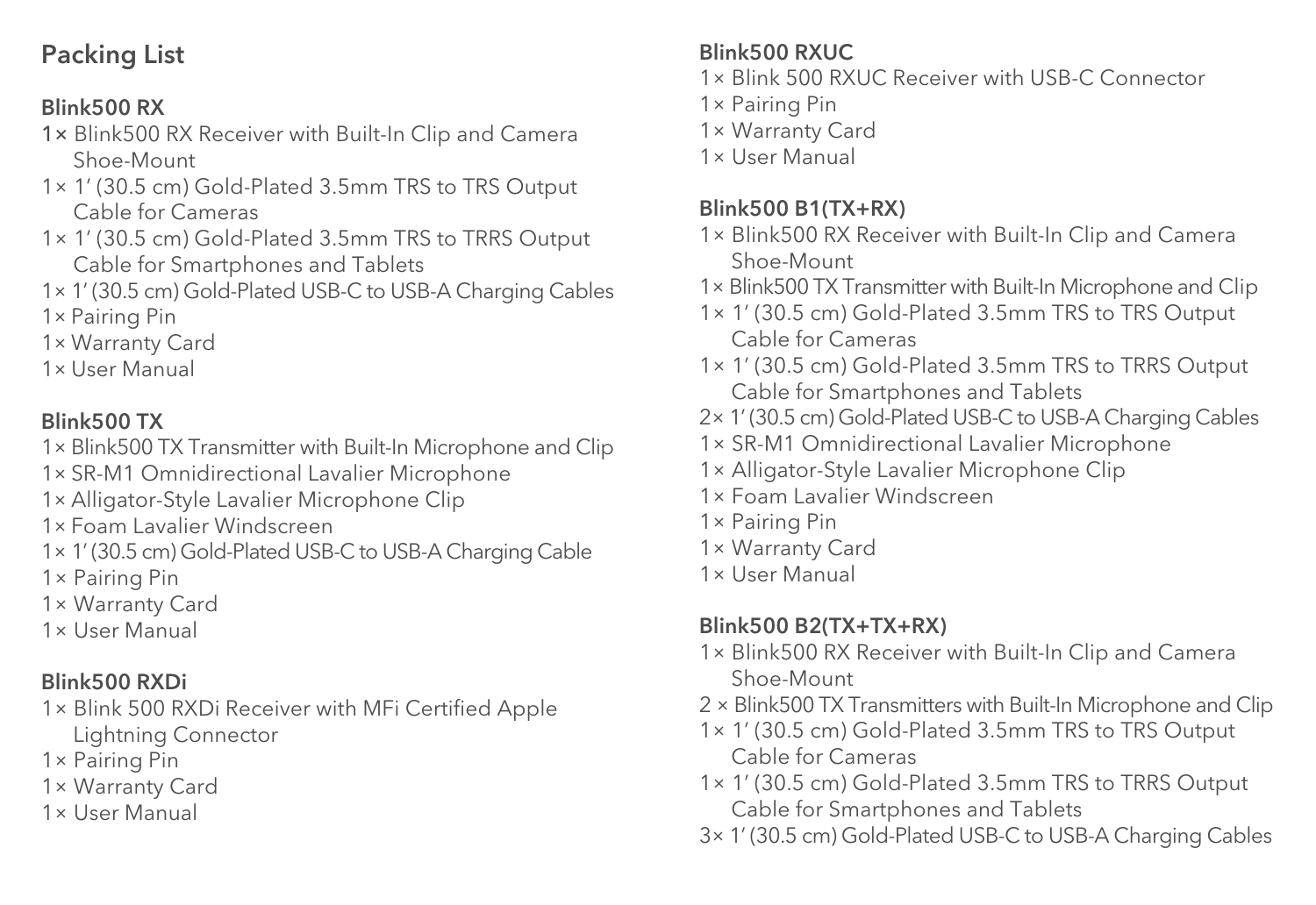### Packing List

### Blink500 RX

- 1× Blink500 RX Receiver with Built-In Clip and Camera Shoe-Mount
- 1× 1' (30.5 cm) Gold-Plated 3.5mm TRS to TRS Output Cable for Cameras
- 1× 1' (30.5 cm) Gold-Plated 3.5mm TRS to TRRS Output Cable for Smartphones and Tablets
- 1× 1' (30.5 cm) Gold-Plated USB-C to USB-A Charging Cables 1× Pairing Pin
- 1× Warranty Card
- 1× User Manual

### Blink500 TX

- 1× Blink500 TX Transmitter with Built-In Microphone and Clip
- 1× SR-M1 Omnidirectional Lavalier Microphone
- 1× Alligator-Style Lavalier Microphone Clip
- 1× Foam Lavalier Windscreen
- 1× 1' (30.5 cm) Gold-Plated USB-C to USB-A Charging Cable
- 1× Pairing Pin
- 1× Warranty Card
- 1× User Manual

### Blink500 RXDi

- 1× Blink 500 RXDi Receiver with MFi Certified Apple Lightning Connector
- 1× Pairing Pin
- 1× Warranty Card
- 1× User Manual

### Blink500 RXUC

- 1× Blink 500 RXUC Receiver with USB-C Connector
- 1× Pairing Pin
- 1× Warranty Card
- 1× User Manual

### Blink500 B1(TX+RX)

- 1× Blink500 RX Receiver with Built-In Clip and Camera Shoe-Mount
- 1× Blink500 TX Transmitter with Built-In Microphone and Clip
- 1× 1' (30.5 cm) Gold-Plated 3.5mm TRS to TRS Output Cable for Cameras
- 1× 1' (30.5 cm) Gold-Plated 3.5mm TRS to TRRS Output Cable for Smartphones and Tablets
- 2× 1' (30.5 cm) Gold-Plated USB-C to USB-A Charging Cables
- 1× SR-M1 Omnidirectional Lavalier Microphone
- 1× Alligator-Style Lavalier Microphone Clip
- 1× Foam Lavalier Windscreen
- 1× Pairing Pin
- 1× Warranty Card
- 1× User Manual

### Blink500 B2(TX+TX+RX)

- 1× Blink500 RX Receiver with Built-In Clip and Camera Shoe-Mount
- 2 × Blink500 TX Transmitters with Built-In Microphone and Clip
- 1× 1' (30.5 cm) Gold-Plated 3.5mm TRS to TRS Output Cable for Cameras
- 1× 1' (30.5 cm) Gold-Plated 3.5mm TRS to TRRS Output Cable for Smartphones and Tablets
- 3× 1' (30.5 cm) Gold-Plated USB-C to USB-A Charging Cables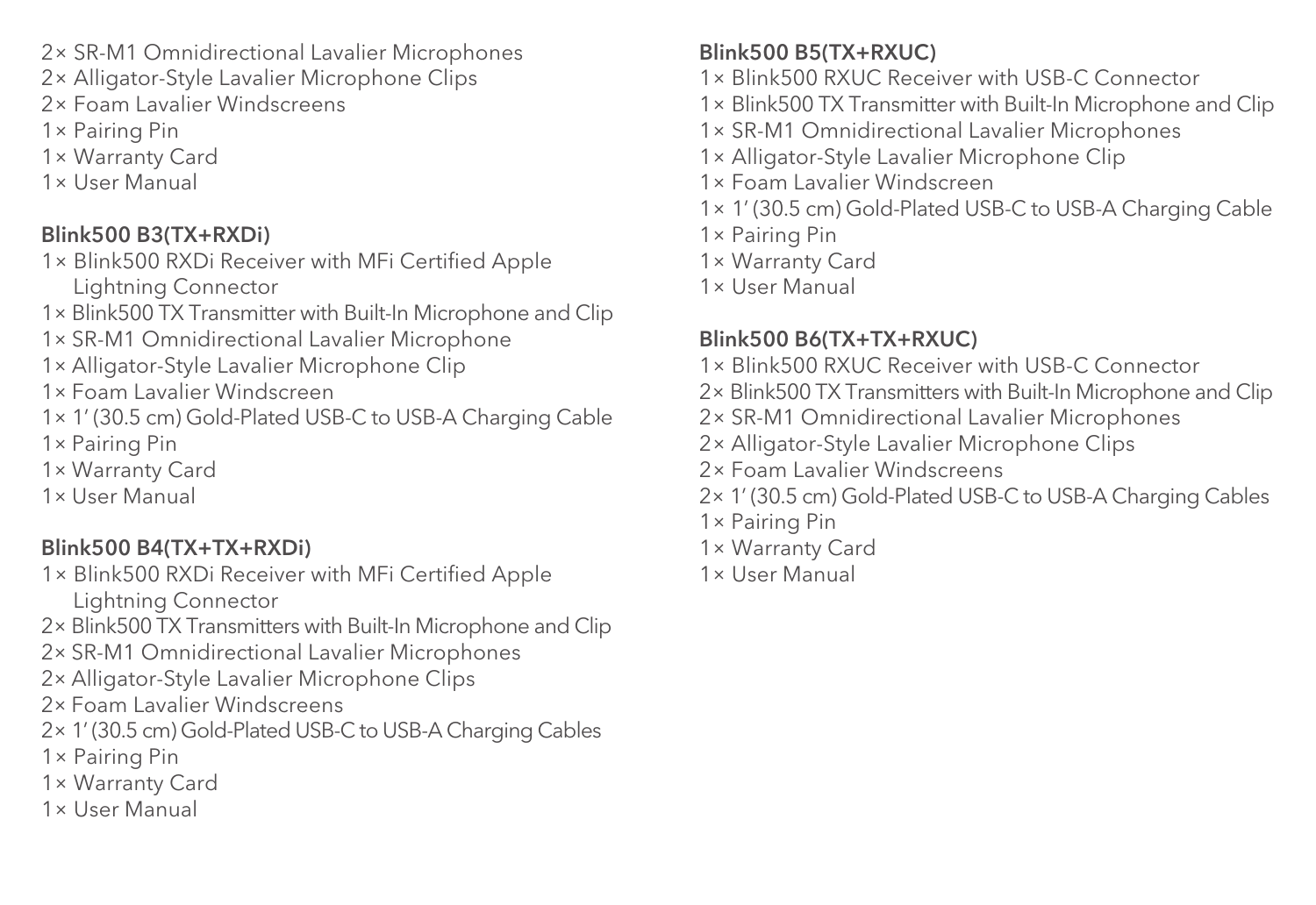2× SR-M1 Omnidirectional Lavalier Microphones

- 2× Alligator-Style Lavalier Microphone Clips
- 2× Foam Lavalier Windscreens
- 1× Pairing Pin
- 1× Warranty Card
- 1× User Manual

### Blink500 B3(TX+RXDi)

- 1× Blink500 RXDi Receiver with MFi Certified Apple Lightning Connector
- 1× Blink500 TX Transmitter with Built-In Microphone and Clip
- 1× SR-M1 Omnidirectional Lavalier Microphone
- 1× Alligator-Style Lavalier Microphone Clip
- 1× Foam Lavalier Windscreen
- 1× 1' (30.5 cm) Gold-Plated USB-C to USB-A Charging Cable 1× Pairing Pin
- 1× Warranty Card
- 1× User Manual

### Blink500 B4(TX+TX+RXDi)

- 1× Blink500 RXDi Receiver with MFi Certified Apple Lightning Connector
- 2× Blink500 TX Transmitters with Built-In Microphone and Clip
- 2× SR-M1 Omnidirectional Lavalier Microphones
- 2× Alligator-Style Lavalier Microphone Clips
- 2× Foam Lavalier Windscreens
- 2× 1' (30.5 cm) Gold-Plated USB-C to USB-A Charging Cables
- 1× Pairing Pin
- 1× Warranty Card
- 1× User Manual

### Blink500 B5(TX+RXUC)

- 1× Blink500 RXUC Receiver with USB-C Connector
- 1× Blink500 TX Transmitter with Built-In Microphone and Clip
- 1× SR-M1 Omnidirectional Lavalier Microphones
- 1× Alligator-Style Lavalier Microphone Clip
- 1× Foam Lavalier Windscreen
- 1× 1' (30.5 cm) Gold-Plated USB-C to USB-A Charging Cable
- 1× Pairing Pin
- 1× Warranty Card
- 1× User Manual

### Blink500 B6(TX+TX+RXUC)

- 1× Blink500 RXUC Receiver with USB-C Connector
- 2× Blink500 TX Transmitters with Built-In Microphone and Clip
- 2× SR-M1 Omnidirectional Lavalier Microphones
- 2× Alligator-Style Lavalier Microphone Clips
- 2× Foam Lavalier Windscreens
- 2× 1' (30.5 cm) Gold-Plated USB-C to USB-A Charging Cables
- 1× Pairing Pin
- 1× Warranty Card
- 1× User Manual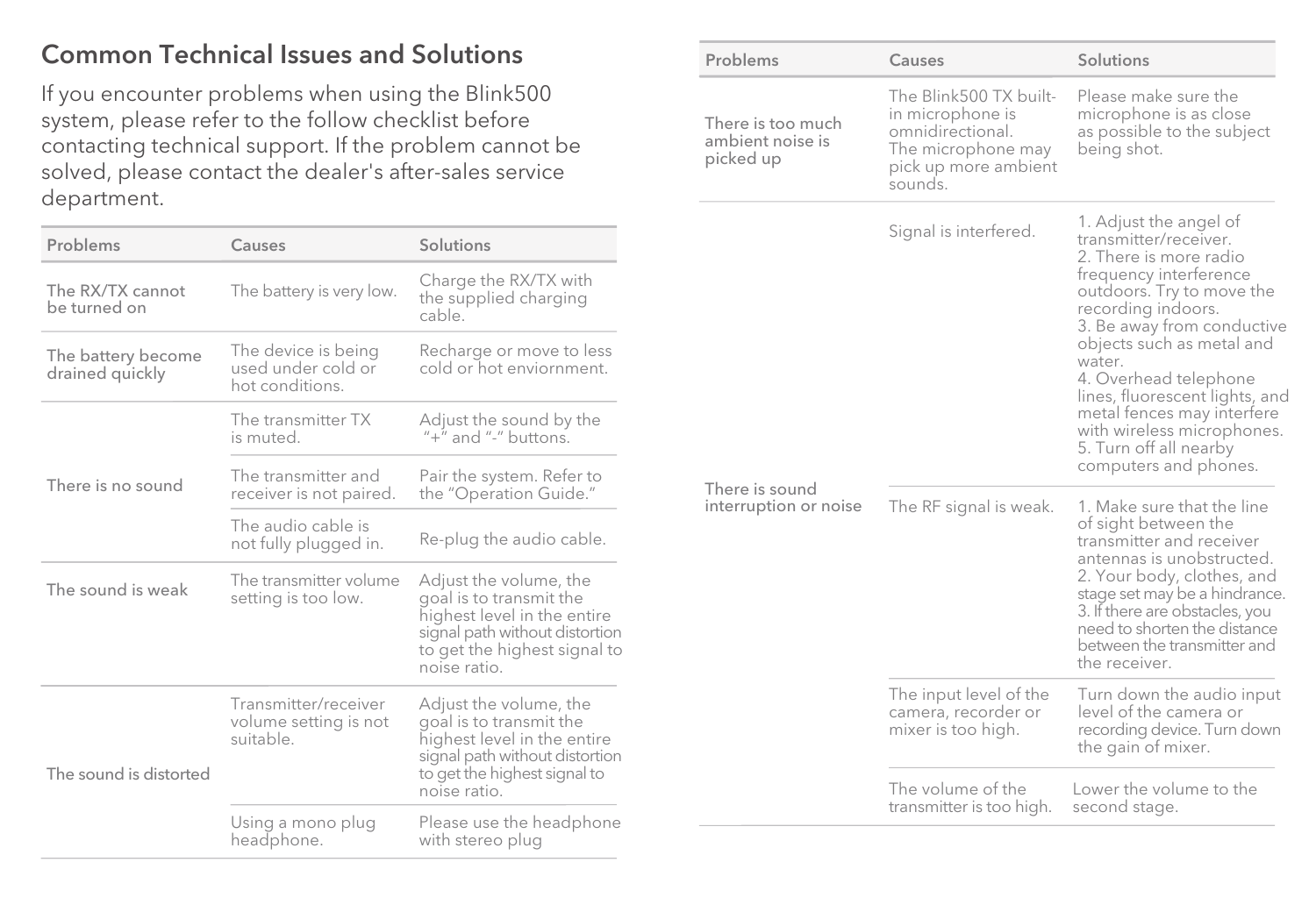### Common Technical Issues and Solutions

If you encounter problems when using the Blink500 system, please refer to the follow checklist before contacting technical support. If the problem cannot be solved, please contact the dealer's after-sales service department.

| Problems                              | Causes                                                       | Solutions                                                                                                                                                          |
|---------------------------------------|--------------------------------------------------------------|--------------------------------------------------------------------------------------------------------------------------------------------------------------------|
| The RX/TX cannot<br>be turned on      | The battery is very low.                                     | Charge the RX/TX with<br>the supplied charging<br>cable.                                                                                                           |
| The battery become<br>drained quickly | The device is being<br>used under cold or<br>hot conditions. | Recharge or move to less<br>cold or hot enviornment.                                                                                                               |
|                                       | The transmitter TX<br>is muted.                              | Adjust the sound by the<br>$'' +''$ and "-" buttons.                                                                                                               |
| There is no sound                     | The transmitter and<br>receiver is not paired.               | Pair the system. Refer to<br>the "Operation Guide."                                                                                                                |
|                                       | The audio cable is<br>not fully plugged in.                  | Re-plug the audio cable.                                                                                                                                           |
| The sound is weak                     | The transmitter volume<br>setting is too low.                | Adjust the volume, the<br>goal is to transmit the<br>highest level in the entire<br>signal path without distortion<br>to get the highest signal to<br>noise ratio. |
| The sound is distorted                | Transmitter/receiver<br>volume setting is not<br>suitable.   | Adjust the volume, the<br>goal is to transmit the<br>highest level in the entire<br>signal path without distortion<br>to get the highest signal to<br>noise ratio. |
|                                       | Using a mono plug<br>headphone.                              | Please use the headphone<br>with stereo plug                                                                                                                       |

| Problems                                           | Causes                                                                                                                  | Solutions                                                                                                                                                                                                                                                                                                                                                                                             |
|----------------------------------------------------|-------------------------------------------------------------------------------------------------------------------------|-------------------------------------------------------------------------------------------------------------------------------------------------------------------------------------------------------------------------------------------------------------------------------------------------------------------------------------------------------------------------------------------------------|
| There is too much<br>ambient noise is<br>picked up | The Blink500 TX built-<br>in microphone is<br>omnidirectional.<br>The microphone may<br>pick up more ambient<br>sounds. | Please make sure the<br>microphone is as close<br>as possible to the subject<br>being shot.                                                                                                                                                                                                                                                                                                           |
|                                                    | Signal is interfered.                                                                                                   | 1. Adjust the angel of<br>transmitter/receiver.<br>2. There is more radio<br>frequency interference<br>outdoors. Try to move the<br>recording indoors.<br>3. Be away from conductive<br>objects such as metal and<br>water.<br>4. Overhead telephone<br>lines, fluorescent lights, and<br>metal fences may interfere<br>with wireless microphones.<br>5. Turn off all nearby<br>computers and phones. |
| There is sound<br>interruption or noise            | The RF signal is weak.                                                                                                  | 1. Make sure that the line<br>of sight between the<br>transmitter and receiver<br>antennas is unobstructed.<br>2. Your body, clothes, and<br>stage set may be a hindrance.<br>3. If there are obstacles, you<br>need to shorten the distance<br>between the transmitter and<br>the receiver.                                                                                                          |
|                                                    | The input level of the<br>camera, recorder or<br>mixer is too high.                                                     | Turn down the audio input<br>level of the camera or<br>recording device. Turn down<br>the gain of mixer.                                                                                                                                                                                                                                                                                              |
|                                                    | The volume of the<br>transmitter is too high.                                                                           | Lower the volume to the<br>second stage.                                                                                                                                                                                                                                                                                                                                                              |